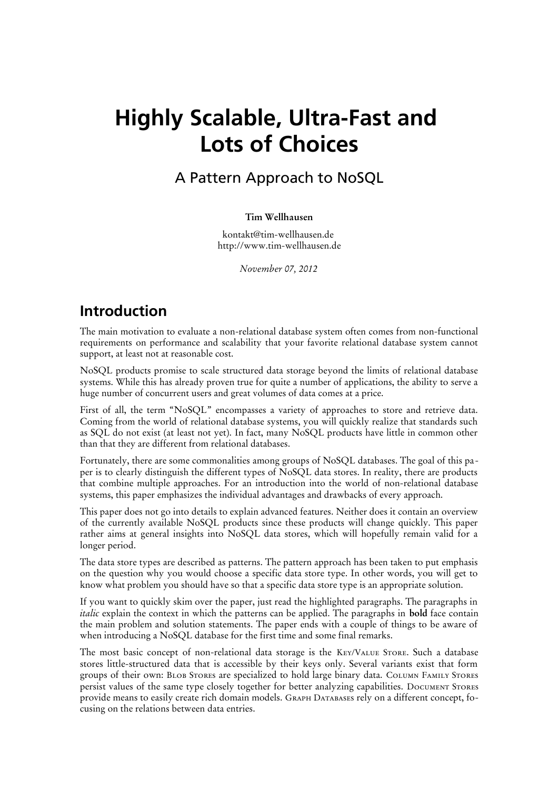# **Highly Scalable, Ultra-Fast and Lots of Choices**

A Pattern Approach to NoSQL

### **Tim Wellhausen**

kontakt@tim-wellhausen.de http://www.tim-wellhausen.de

*November 07, 2012*

### **Introduction**

The main motivation to evaluate a non-relational database system often comes from non-functional requirements on performance and scalability that your favorite relational database system cannot support, at least not at reasonable cost.

NoSQL products promise to scale structured data storage beyond the limits of relational database systems. While this has already proven true for quite a number of applications, the ability to serve a huge number of concurrent users and great volumes of data comes at a price.

First of all, the term "NoSQL" encompasses a variety of approaches to store and retrieve data. Coming from the world of relational database systems, you will quickly realize that standards such as SQL do not exist (at least not yet). In fact, many NoSQL products have little in common other than that they are different from relational databases.

Fortunately, there are some commonalities among groups of NoSQL databases. The goal of this paper is to clearly distinguish the different types of NoSQL data stores. In reality, there are products that combine multiple approaches. For an introduction into the world of non-relational database systems, this paper emphasizes the individual advantages and drawbacks of every approach.

This paper does not go into details to explain advanced features. Neither does it contain an overview of the currently available NoSQL products since these products will change quickly. This paper rather aims at general insights into NoSQL data stores, which will hopefully remain valid for a longer period.

The data store types are described as patterns. The pattern approach has been taken to put emphasis on the question why you would choose a specific data store type. In other words, you will get to know what problem you should have so that a specific data store type is an appropriate solution.

If you want to quickly skim over the paper, just read the highlighted paragraphs. The paragraphs in *italic* explain the context in which the patterns can be applied. The paragraphs in **bold** face contain the main problem and solution statements. The paper ends with a couple of things to be aware of when introducing a NoSQL database for the first time and some final remarks.

The most basic concept of non-relational data storage is the Key/Value Store. Such a database stores little-structured data that is accessible by their keys only. Several variants exist that form groups of their own: Blob Stores are specialized to hold large binary data. Column Family Stores persist values of the same type closely together for better analyzing capabilities. Document Stores provide means to easily create rich domain models. Graph Databases rely on a different concept, focusing on the relations between data entries.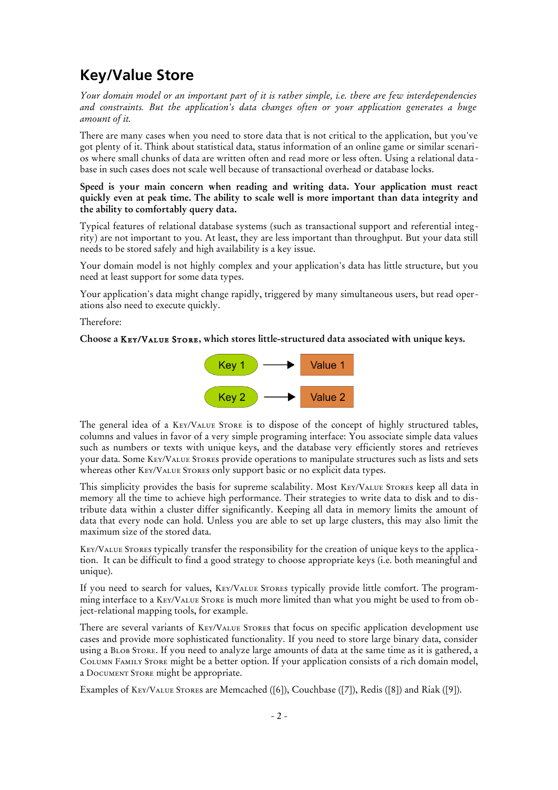## **Key/Value Store**

*Your domain model or an important part of it is rather simple, i.e. there are few interdependencies and constraints. But the application's data changes often or your application generates a huge amount of it.*

There are many cases when you need to store data that is not critical to the application, but you've got plenty of it. Think about statistical data, status information of an online game or similar scenarios where small chunks of data are written often and read more or less often. Using a relational data base in such cases does not scale well because of transactional overhead or database locks.

### **Speed is your main concern when reading and writing data. Your application must react quickly even at peak time. The ability to scale well is more important than data integrity and the ability to comfortably query data.**

Typical features of relational database systems (such as transactional support and referential integrity) are not important to you. At least, they are less important than throughput. But your data still needs to be stored safely and high availability is a key issue.

Your domain model is not highly complex and your application's data has little structure, but you need at least support for some data types.

Your application's data might change rapidly, triggered by many simultaneous users, but read operations also need to execute quickly.

### Therefore:

#### **Choose a** Key/Value Store**, which stores little-structured data associated with unique keys.**



The general idea of a KEY/VALUE STORE is to dispose of the concept of highly structured tables, columns and values in favor of a very simple programing interface: You associate simple data values such as numbers or texts with unique keys, and the database very efficiently stores and retrieves your data. Some Key/Value Stores provide operations to manipulate structures such as lists and sets whereas other KEY/VALUE STORES only support basic or no explicit data types.

This simplicity provides the basis for supreme scalability. Most Key/Value Stores keep all data in memory all the time to achieve high performance. Their strategies to write data to disk and to distribute data within a cluster differ significantly. Keeping all data in memory limits the amount of data that every node can hold. Unless you are able to set up large clusters, this may also limit the maximum size of the stored data.

Key/Value Stores typically transfer the responsibility for the creation of unique keys to the application. It can be difficult to find a good strategy to choose appropriate keys (i.e. both meaningful and unique).

If you need to search for values, KEY/VALUE STORES typically provide little comfort. The programming interface to a KEY/VALUE STORE is much more limited than what you might be used to from object-relational mapping tools, for example.

There are several variants of Key/Value Stores that focus on specific application development use cases and provide more sophisticated functionality. If you need to store large binary data, consider using a Blob Store. If you need to analyze large amounts of data at the same time as it is gathered, a Column Family Store might be a better option. If your application consists of a rich domain model, a Document Store might be appropriate.

Examples of Key/Value Stores are Memcached ([6]), Couchbase ([7]), Redis ([8]) and Riak ([9]).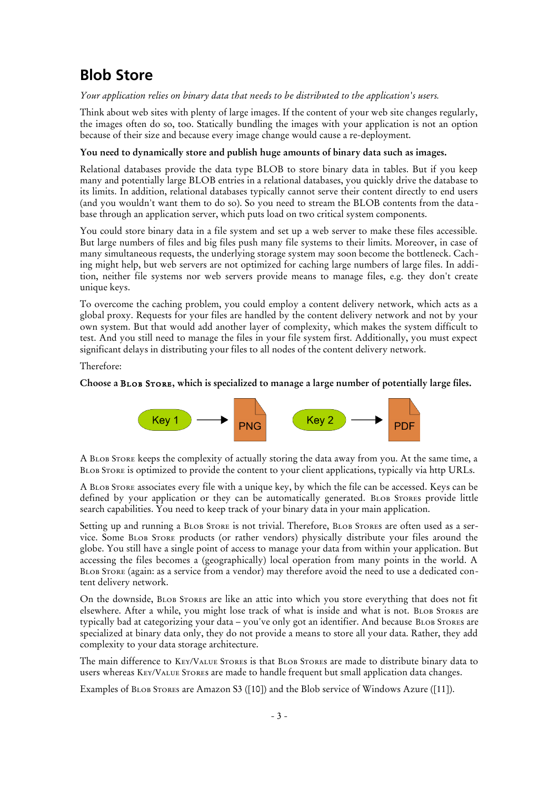## **Blob Store**

*Your application relies on binary data that needs to be distributed to the application's users.*

Think about web sites with plenty of large images. If the content of your web site changes regularly, the images often do so, too. Statically bundling the images with your application is not an option because of their size and because every image change would cause a re-deployment.

### **You need to dynamically store and publish huge amounts of binary data such as images.**

Relational databases provide the data type BLOB to store binary data in tables. But if you keep many and potentially large BLOB entries in a relational databases, you quickly drive the database to its limits. In addition, relational databases typically cannot serve their content directly to end users (and you wouldn't want them to do so). So you need to stream the BLOB contents from the data base through an application server, which puts load on two critical system components.

You could store binary data in a file system and set up a web server to make these files accessible. But large numbers of files and big files push many file systems to their limits. Moreover, in case of many simultaneous requests, the underlying storage system may soon become the bottleneck. Caching might help, but web servers are not optimized for caching large numbers of large files. In addition, neither file systems nor web servers provide means to manage files, e.g. they don't create unique keys.

To overcome the caching problem, you could employ a content delivery network, which acts as a global proxy. Requests for your files are handled by the content delivery network and not by your own system. But that would add another layer of complexity, which makes the system difficult to test. And you still need to manage the files in your file system first. Additionally, you must expect significant delays in distributing your files to all nodes of the content delivery network.

Therefore:

### **Choose a** Blob Store**, which is specialized to manage a large number of potentially large files.**



A Blob Store keeps the complexity of actually storing the data away from you. At the same time, a BLOB STORE is optimized to provide the content to your client applications, typically via http URLs.

A Blob Store associates every file with a unique key, by which the file can be accessed. Keys can be defined by your application or they can be automatically generated. BLOB STORES provide little search capabilities. You need to keep track of your binary data in your main application.

Setting up and running a BLOB STORE is not trivial. Therefore, BLOB STORES are often used as a service. Some Blob Store products (or rather vendors) physically distribute your files around the globe. You still have a single point of access to manage your data from within your application. But accessing the files becomes a (geographically) local operation from many points in the world. A Blob Store (again: as a service from a vendor) may therefore avoid the need to use a dedicated content delivery network.

On the downside, Blob Stores are like an attic into which you store everything that does not fit elsewhere. After a while, you might lose track of what is inside and what is not. BLOB STORES are typically bad at categorizing your data – you've only got an identifier. And because BLOB STORES are specialized at binary data only, they do not provide a means to store all your data. Rather, they add complexity to your data storage architecture.

The main difference to Key/Value Stores is that Blob Stores are made to distribute binary data to users whereas Key/Value Stores are made to handle frequent but small application data changes.

Examples of Blob Stores are Amazon S3 ([10]) and the Blob service of Windows Azure ([11]).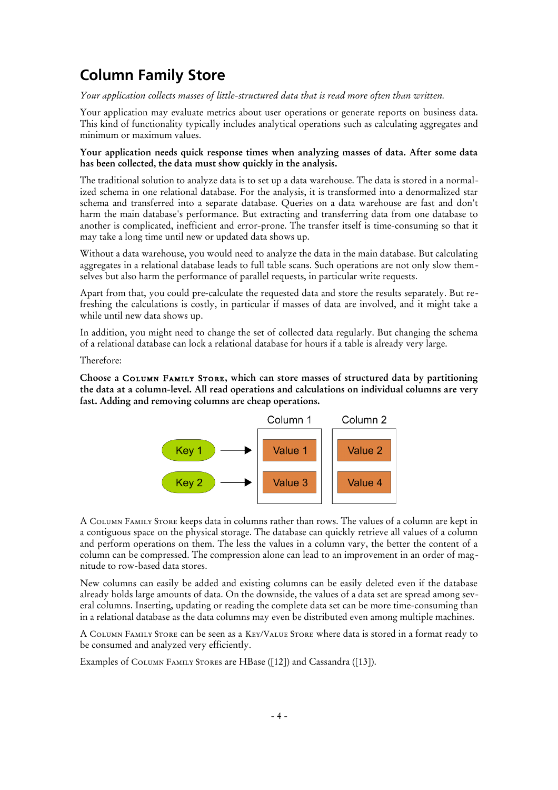# **Column Family Store**

*Your application collects masses of little-structured data that is read more often than written.* 

Your application may evaluate metrics about user operations or generate reports on business data. This kind of functionality typically includes analytical operations such as calculating aggregates and minimum or maximum values.

### **Your application needs quick response times when analyzing masses of data. After some data has been collected, the data must show quickly in the analysis.**

The traditional solution to analyze data is to set up a data warehouse. The data is stored in a normalized schema in one relational database. For the analysis, it is transformed into a denormalized star schema and transferred into a separate database. Queries on a data warehouse are fast and don't harm the main database's performance. But extracting and transferring data from one database to another is complicated, inefficient and error-prone. The transfer itself is time-consuming so that it may take a long time until new or updated data shows up.

Without a data warehouse, you would need to analyze the data in the main database. But calculating aggregates in a relational database leads to full table scans. Such operations are not only slow themselves but also harm the performance of parallel requests, in particular write requests.

Apart from that, you could pre-calculate the requested data and store the results separately. But refreshing the calculations is costly, in particular if masses of data are involved, and it might take a while until new data shows up.

In addition, you might need to change the set of collected data regularly. But changing the schema of a relational database can lock a relational database for hours if a table is already very large.

Therefore:

**Choose a** Column Family Store**, which can store masses of structured data by partitioning the data at a column-level. All read operations and calculations on individual columns are very fast. Adding and removing columns are cheap operations.**



A Column Family Store keeps data in columns rather than rows. The values of a column are kept in a contiguous space on the physical storage. The database can quickly retrieve all values of a column and perform operations on them. The less the values in a column vary, the better the content of a column can be compressed. The compression alone can lead to an improvement in an order of magnitude to row-based data stores.

New columns can easily be added and existing columns can be easily deleted even if the database already holds large amounts of data. On the downside, the values of a data set are spread among several columns. Inserting, updating or reading the complete data set can be more time-consuming than in a relational database as the data columns may even be distributed even among multiple machines.

A Column Family Store can be seen as a Key/Value Store where data is stored in a format ready to be consumed and analyzed very efficiently.

Examples of COLUMN FAMILY STORES are HBase ([12]) and Cassandra ([13]).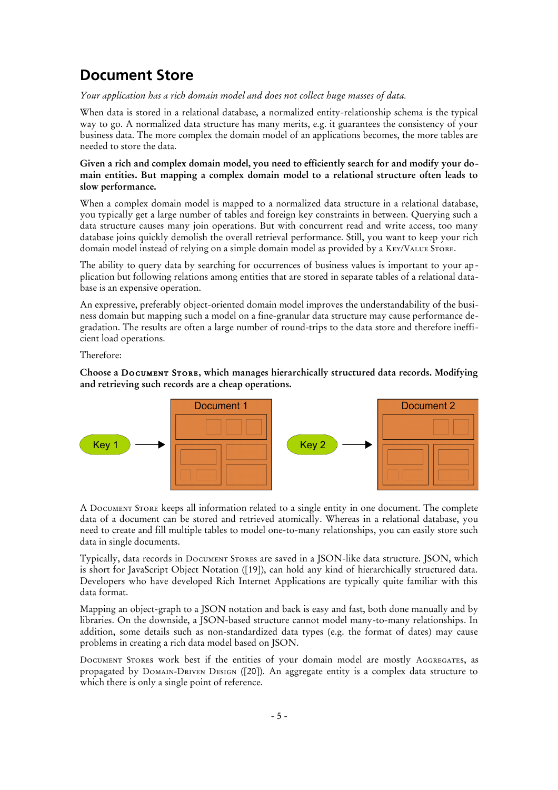# **Document Store**

### *Your application has a rich domain model and does not collect huge masses of data.*

When data is stored in a relational database, a normalized entity-relationship schema is the typical way to go. A normalized data structure has many merits, e.g. it guarantees the consistency of your business data. The more complex the domain model of an applications becomes, the more tables are needed to store the data.

### **Given a rich and complex domain model, you need to efficiently search for and modify your domain entities. But mapping a complex domain model to a relational structure often leads to slow performance.**

When a complex domain model is mapped to a normalized data structure in a relational database, you typically get a large number of tables and foreign key constraints in between. Querying such a data structure causes many join operations. But with concurrent read and write access, too many database joins quickly demolish the overall retrieval performance. Still, you want to keep your rich domain model instead of relying on a simple domain model as provided by a Key/Value Store.

The ability to query data by searching for occurrences of business values is important to your application but following relations among entities that are stored in separate tables of a relational database is an expensive operation.

An expressive, preferably object-oriented domain model improves the understandability of the business domain but mapping such a model on a fine-granular data structure may cause performance degradation. The results are often a large number of round-trips to the data store and therefore inefficient load operations.

Therefore:

**Choose a** Document Store**, which manages hierarchically structured data records. Modifying and retrieving such records are a cheap operations.**



A Document Store keeps all information related to a single entity in one document. The complete data of a document can be stored and retrieved atomically. Whereas in a relational database, you need to create and fill multiple tables to model one-to-many relationships, you can easily store such data in single documents.

Typically, data records in Document Stores are saved in a JSON-like data structure. JSON, which is short for JavaScript Object Notation ([19]), can hold any kind of hierarchically structured data. Developers who have developed Rich Internet Applications are typically quite familiar with this data format.

Mapping an object-graph to a JSON notation and back is easy and fast, both done manually and by libraries. On the downside, a JSON-based structure cannot model many-to-many relationships. In addition, some details such as non-standardized data types (e.g. the format of dates) may cause problems in creating a rich data model based on JSON.

DOCUMENT STORES work best if the entities of your domain model are mostly AGGREGATES, as propagated by Domain-Driven Design ([20]). An aggregate entity is a complex data structure to which there is only a single point of reference.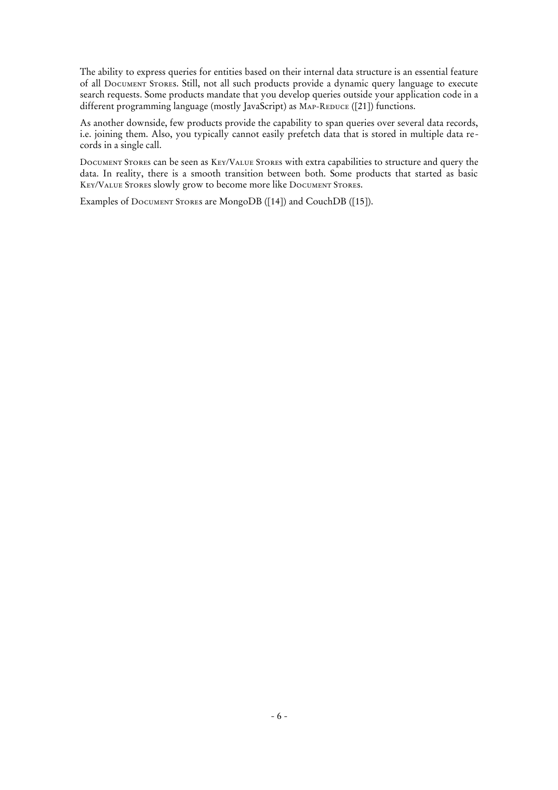The ability to express queries for entities based on their internal data structure is an essential feature of all Document Stores. Still, not all such products provide a dynamic query language to execute search requests. Some products mandate that you develop queries outside your application code in a different programming language (mostly JavaScript) as MAP-REDUCE ([21]) functions.

As another downside, few products provide the capability to span queries over several data records, i.e. joining them. Also, you typically cannot easily prefetch data that is stored in multiple data records in a single call.

Document Stores can be seen as Key/Value Stores with extra capabilities to structure and query the data. In reality, there is a smooth transition between both. Some products that started as basic Key/Value Stores slowly grow to become more like Document Stores.

Examples of Document Stores are MongoDB ([14]) and CouchDB ([15]).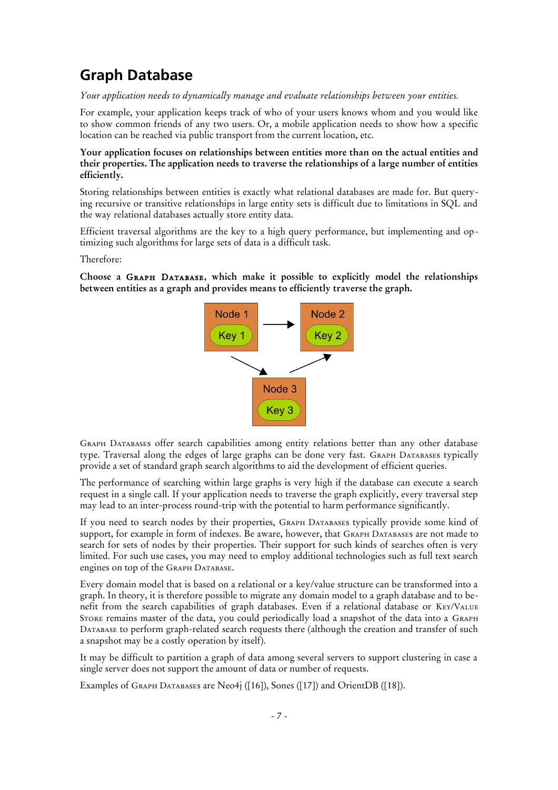# **Graph Database**

*Your application needs to dynamically manage and evaluate relationships between your entities.* 

For example, your application keeps track of who of your users knows whom and you would like to show common friends of any two users. Or, a mobile application needs to show how a specific location can be reached via public transport from the current location, etc.

**Your application focuses on relationships between entities more than on the actual entities and their properties. The application needs to traverse the relationships of a large number of entities efficiently.**

Storing relationships between entities is exactly what relational databases are made for. But querying recursive or transitive relationships in large entity sets is difficult due to limitations in SQL and the way relational databases actually store entity data.

Efficient traversal algorithms are the key to a high query performance, but implementing and optimizing such algorithms for large sets of data is a difficult task.

Therefore:

**Choose a** Graph Database**, which make it possible to explicitly model the relationships between entities as a graph and provides means to efficiently traverse the graph.**



Graph Databases offer search capabilities among entity relations better than any other database type. Traversal along the edges of large graphs can be done very fast. GRAPH DATABASES typically provide a set of standard graph search algorithms to aid the development of efficient queries.

The performance of searching within large graphs is very high if the database can execute a search request in a single call. If your application needs to traverse the graph explicitly, every traversal step may lead to an inter-process round-trip with the potential to harm performance significantly.

If you need to search nodes by their properties, Graph Databases typically provide some kind of support, for example in form of indexes. Be aware, however, that GRAPH DATABASES are not made to search for sets of nodes by their properties. Their support for such kinds of searches often is very limited. For such use cases, you may need to employ additional technologies such as full text search engines on top of the GRAPH DATABASE.

Every domain model that is based on a relational or a key/value structure can be transformed into a graph. In theory, it is therefore possible to migrate any domain model to a graph database and to benefit from the search capabilities of graph databases. Even if a relational database or Key/Value Store remains master of the data, you could periodically load a snapshot of the data into a Graph Database to perform graph-related search requests there (although the creation and transfer of such a snapshot may be a costly operation by itself).

It may be difficult to partition a graph of data among several servers to support clustering in case a single server does not support the amount of data or number of requests.

Examples of GRAPH DATABASES are Neo4j ([16]), Sones ([17]) and OrientDB ([18]).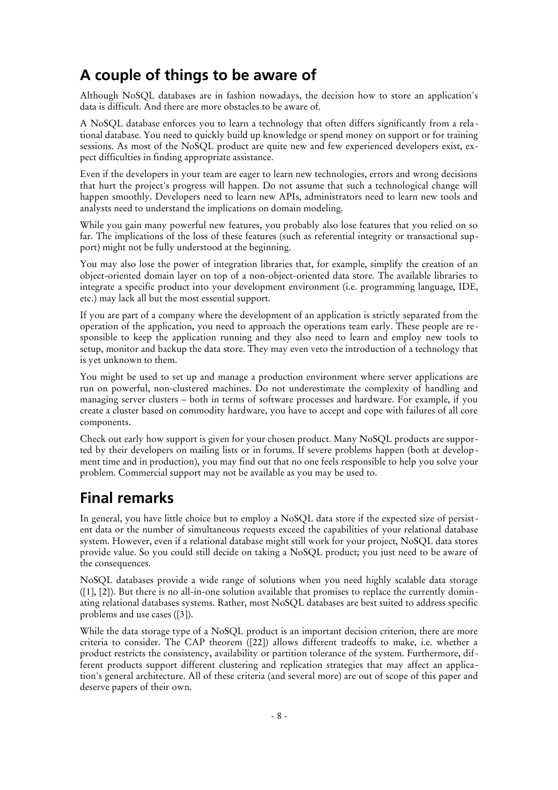# **A couple of things to be aware of**

Although NoSQL databases are in fashion nowadays, the decision how to store an application's data is difficult. And there are more obstacles to be aware of.

A NoSQL database enforces you to learn a technology that often differs significantly from a relational database. You need to quickly build up knowledge or spend money on support or for training sessions. As most of the NoSQL product are quite new and few experienced developers exist, expect difficulties in finding appropriate assistance.

Even if the developers in your team are eager to learn new technologies, errors and wrong decisions that hurt the project's progress will happen. Do not assume that such a technological change will happen smoothly. Developers need to learn new APIs, administrators need to learn new tools and analysts need to understand the implications on domain modeling.

While you gain many powerful new features, you probably also lose features that you relied on so far. The implications of the loss of these features (such as referential integrity or transactional support) might not be fully understood at the beginning.

You may also lose the power of integration libraries that, for example, simplify the creation of an object-oriented domain layer on top of a non-object-oriented data store. The available libraries to integrate a specific product into your development environment (i.e. programming language, IDE, etc.) may lack all but the most essential support.

If you are part of a company where the development of an application is strictly separated from the operation of the application, you need to approach the operations team early. These people are responsible to keep the application running and they also need to learn and employ new tools to setup, monitor and backup the data store. They may even veto the introduction of a technology that is yet unknown to them.

You might be used to set up and manage a production environment where server applications are run on powerful, non-clustered machines. Do not underestimate the complexity of handling and managing server clusters – both in terms of software processes and hardware. For example, if you create a cluster based on commodity hardware, you have to accept and cope with failures of all core components.

Check out early how support is given for your chosen product. Many NoSQL products are supported by their developers on mailing lists or in forums. If severe problems happen (both at development time and in production), you may find out that no one feels responsible to help you solve your problem. Commercial support may not be available as you may be used to.

# **Final remarks**

In general, you have little choice but to employ a NoSQL data store if the expected size of persistent data or the number of simultaneous requests exceed the capabilities of your relational database system. However, even if a relational database might still work for your project, NoSQL data stores provide value. So you could still decide on taking a NoSQL product; you just need to be aware of the consequences.

NoSQL databases provide a wide range of solutions when you need highly scalable data storage ([1], [2]). But there is no all-in-one solution available that promises to replace the currently dominating relational databases systems. Rather, most NoSQL databases are best suited to address specific problems and use cases ([3]).

While the data storage type of a NoSQL product is an important decision criterion, there are more criteria to consider. The CAP theorem ([22]) allows different tradeoffs to make, i.e. whether a product restricts the consistency, availability or partition tolerance of the system. Furthermore, different products support different clustering and replication strategies that may affect an application's general architecture. All of these criteria (and several more) are out of scope of this paper and deserve papers of their own.